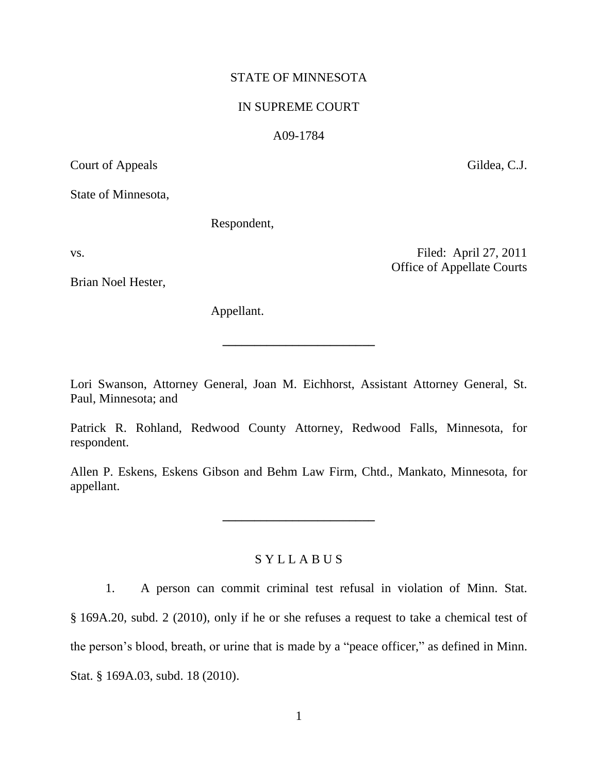## STATE OF MINNESOTA

## IN SUPREME COURT

### A09-1784

Court of Appeals Gildea, C.J.

State of Minnesota,

Respondent,

Brian Noel Hester,

vs. Filed: April 27, 2011 Office of Appellate Courts

Appellant.

Lori Swanson, Attorney General, Joan M. Eichhorst, Assistant Attorney General, St. Paul, Minnesota; and

**\_\_\_\_\_\_\_\_\_\_\_\_\_\_\_\_\_\_\_\_\_\_\_\_**

Patrick R. Rohland, Redwood County Attorney, Redwood Falls, Minnesota, for respondent.

Allen P. Eskens, Eskens Gibson and Behm Law Firm, Chtd., Mankato, Minnesota, for appellant.

**\_\_\_\_\_\_\_\_\_\_\_\_\_\_\_\_\_\_\_\_\_\_\_\_**

# S Y L L A B U S

1. A person can commit criminal test refusal in violation of Minn. Stat. § 169A.20, subd. 2 (2010), only if he or she refuses a request to take a chemical test of the person"s blood, breath, or urine that is made by a "peace officer," as defined in Minn. Stat. § 169A.03, subd. 18 (2010).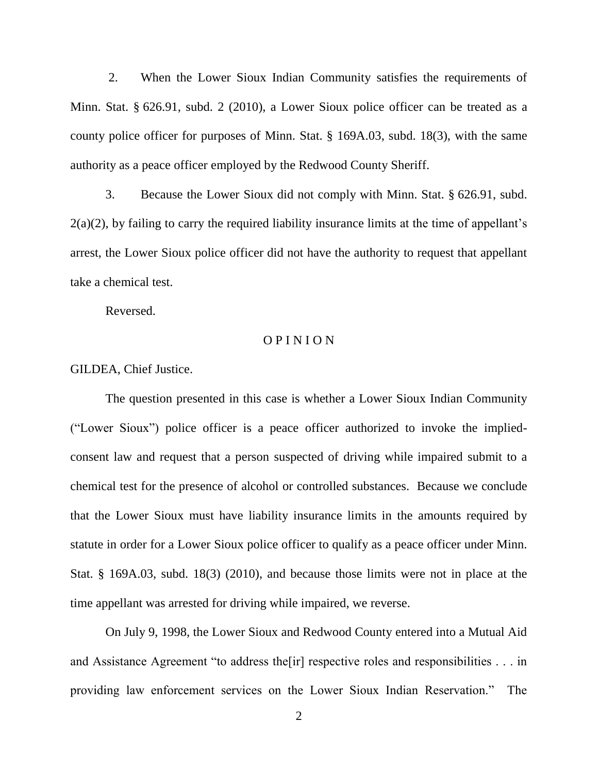2. When the Lower Sioux Indian Community satisfies the requirements of Minn. Stat. § 626.91, subd. 2 (2010), a Lower Sioux police officer can be treated as a county police officer for purposes of Minn. Stat. § 169A.03, subd. 18(3), with the same authority as a peace officer employed by the Redwood County Sheriff.

3. Because the Lower Sioux did not comply with Minn. Stat. § 626.91, subd.  $2(a)(2)$ , by failing to carry the required liability insurance limits at the time of appellant's arrest, the Lower Sioux police officer did not have the authority to request that appellant take a chemical test.

Reversed.

# O P I N I O N

GILDEA, Chief Justice.

The question presented in this case is whether a Lower Sioux Indian Community ("Lower Sioux") police officer is a peace officer authorized to invoke the impliedconsent law and request that a person suspected of driving while impaired submit to a chemical test for the presence of alcohol or controlled substances. Because we conclude that the Lower Sioux must have liability insurance limits in the amounts required by statute in order for a Lower Sioux police officer to qualify as a peace officer under Minn. Stat. § 169A.03, subd. 18(3) (2010), and because those limits were not in place at the time appellant was arrested for driving while impaired, we reverse.

On July 9, 1998, the Lower Sioux and Redwood County entered into a Mutual Aid and Assistance Agreement "to address the[ir] respective roles and responsibilities . . . in providing law enforcement services on the Lower Sioux Indian Reservation." The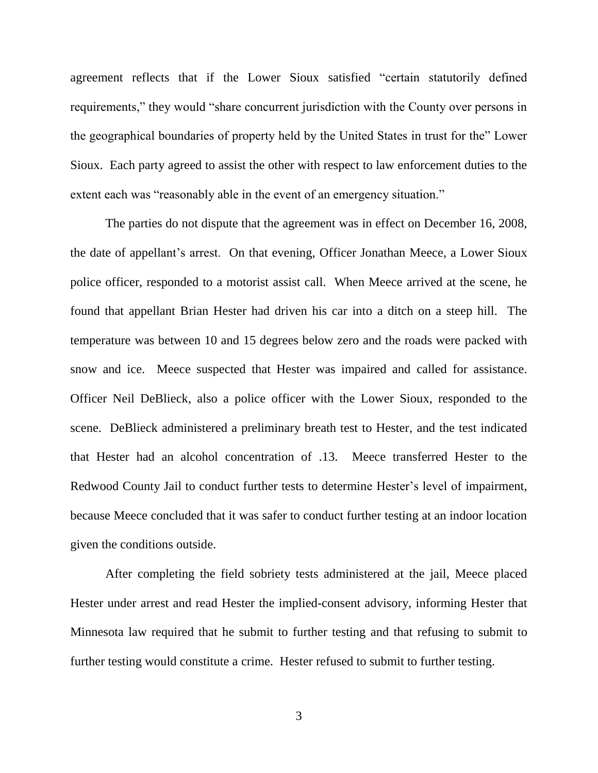agreement reflects that if the Lower Sioux satisfied "certain statutorily defined requirements," they would "share concurrent jurisdiction with the County over persons in the geographical boundaries of property held by the United States in trust for the" Lower Sioux. Each party agreed to assist the other with respect to law enforcement duties to the extent each was "reasonably able in the event of an emergency situation."

The parties do not dispute that the agreement was in effect on December 16, 2008, the date of appellant"s arrest. On that evening, Officer Jonathan Meece, a Lower Sioux police officer, responded to a motorist assist call. When Meece arrived at the scene, he found that appellant Brian Hester had driven his car into a ditch on a steep hill. The temperature was between 10 and 15 degrees below zero and the roads were packed with snow and ice. Meece suspected that Hester was impaired and called for assistance. Officer Neil DeBlieck, also a police officer with the Lower Sioux, responded to the scene. DeBlieck administered a preliminary breath test to Hester, and the test indicated that Hester had an alcohol concentration of .13. Meece transferred Hester to the Redwood County Jail to conduct further tests to determine Hester's level of impairment, because Meece concluded that it was safer to conduct further testing at an indoor location given the conditions outside.

After completing the field sobriety tests administered at the jail, Meece placed Hester under arrest and read Hester the implied-consent advisory, informing Hester that Minnesota law required that he submit to further testing and that refusing to submit to further testing would constitute a crime. Hester refused to submit to further testing.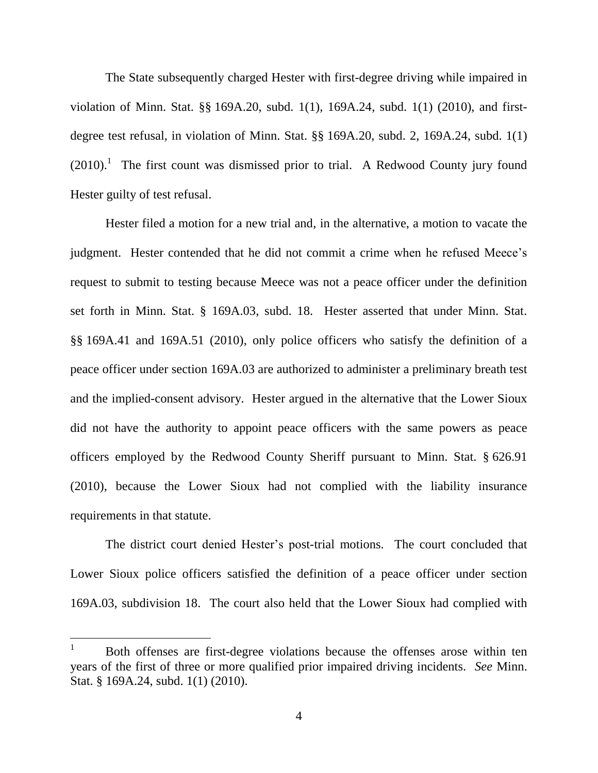The State subsequently charged Hester with first-degree driving while impaired in violation of Minn. Stat. §§ 169A.20, subd. 1(1), 169A.24, subd. 1(1) (2010), and firstdegree test refusal, in violation of Minn. Stat. §§ 169A.20, subd. 2, 169A.24, subd. 1(1)  $(2010).$ <sup>1</sup> The first count was dismissed prior to trial. A Redwood County jury found Hester guilty of test refusal.

Hester filed a motion for a new trial and, in the alternative, a motion to vacate the judgment. Hester contended that he did not commit a crime when he refused Meece"s request to submit to testing because Meece was not a peace officer under the definition set forth in Minn. Stat. § 169A.03, subd. 18. Hester asserted that under Minn. Stat. §§ 169A.41 and 169A.51 (2010), only police officers who satisfy the definition of a peace officer under section 169A.03 are authorized to administer a preliminary breath test and the implied-consent advisory. Hester argued in the alternative that the Lower Sioux did not have the authority to appoint peace officers with the same powers as peace officers employed by the Redwood County Sheriff pursuant to Minn. Stat. § 626.91 (2010), because the Lower Sioux had not complied with the liability insurance requirements in that statute.

The district court denied Hester's post-trial motions. The court concluded that Lower Sioux police officers satisfied the definition of a peace officer under section 169A.03, subdivision 18. The court also held that the Lower Sioux had complied with

<sup>1</sup> Both offenses are first-degree violations because the offenses arose within ten years of the first of three or more qualified prior impaired driving incidents. *See* Minn. Stat. § 169A.24, subd. 1(1) (2010).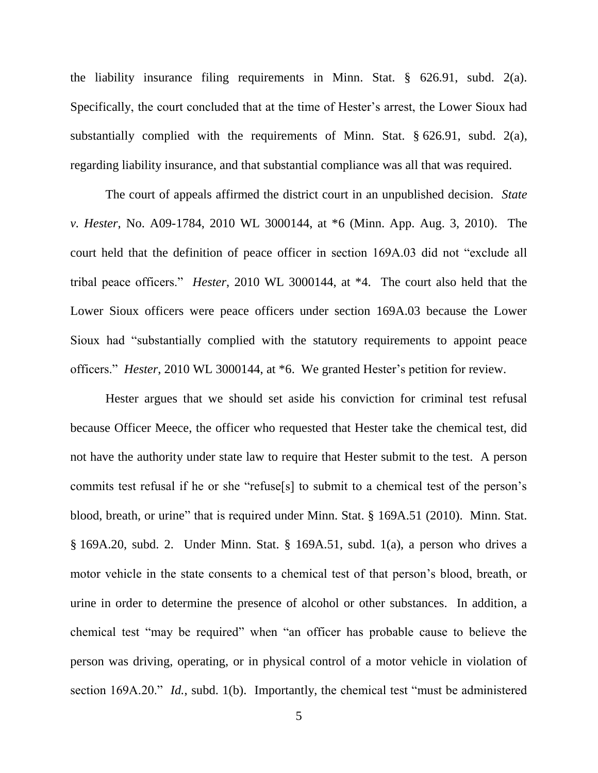the liability insurance filing requirements in Minn. Stat. § 626.91, subd. 2(a). Specifically, the court concluded that at the time of Hester's arrest, the Lower Sioux had substantially complied with the requirements of Minn. Stat. § 626.91, subd. 2(a), regarding liability insurance, and that substantial compliance was all that was required.

The court of appeals affirmed the district court in an unpublished decision. *State v. Hester*, No. A09-1784, 2010 WL 3000144, at \*6 (Minn. App. Aug. 3, 2010). The court held that the definition of peace officer in section 169A.03 did not "exclude all tribal peace officers." *Hester*, 2010 WL 3000144, at \*4. The court also held that the Lower Sioux officers were peace officers under section 169A.03 because the Lower Sioux had "substantially complied with the statutory requirements to appoint peace officers." *Hester*, 2010 WL 3000144, at \*6. We granted Hester's petition for review.

Hester argues that we should set aside his conviction for criminal test refusal because Officer Meece, the officer who requested that Hester take the chemical test, did not have the authority under state law to require that Hester submit to the test. A person commits test refusal if he or she "refuse[s] to submit to a chemical test of the person"s blood, breath, or urine" that is required under Minn. Stat. § 169A.51 (2010). Minn. Stat. § 169A.20, subd. 2. Under Minn. Stat. § 169A.51, subd. 1(a), a person who drives a motor vehicle in the state consents to a chemical test of that person"s blood, breath, or urine in order to determine the presence of alcohol or other substances. In addition, a chemical test "may be required" when "an officer has probable cause to believe the person was driving, operating, or in physical control of a motor vehicle in violation of section 169A.20." *Id.*, subd. 1(b). Importantly, the chemical test "must be administered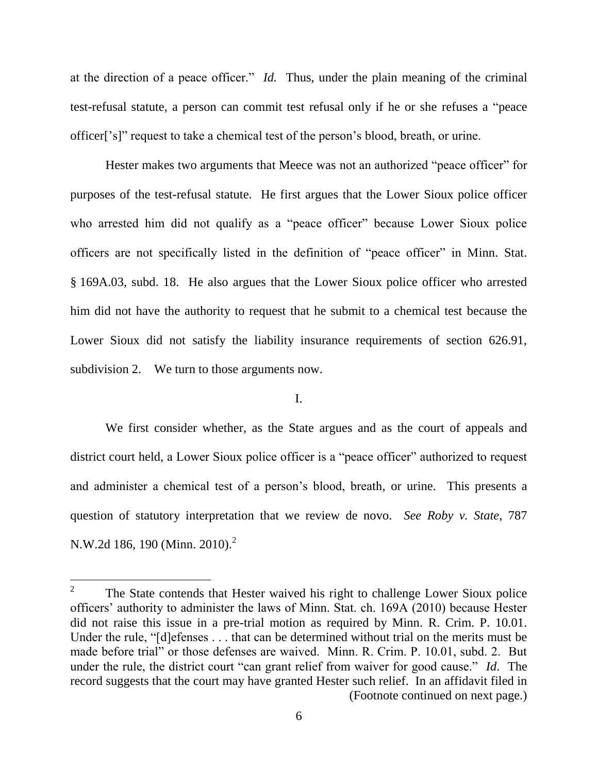at the direction of a peace officer." *Id.* Thus, under the plain meaning of the criminal test-refusal statute, a person can commit test refusal only if he or she refuses a "peace officer["s]" request to take a chemical test of the person"s blood, breath, or urine.

Hester makes two arguments that Meece was not an authorized "peace officer" for purposes of the test-refusal statute. He first argues that the Lower Sioux police officer who arrested him did not qualify as a "peace officer" because Lower Sioux police officers are not specifically listed in the definition of "peace officer" in Minn. Stat. § 169A.03, subd. 18. He also argues that the Lower Sioux police officer who arrested him did not have the authority to request that he submit to a chemical test because the Lower Sioux did not satisfy the liability insurance requirements of section 626.91, subdivision 2. We turn to those arguments now.

## I.

We first consider whether, as the State argues and as the court of appeals and district court held, a Lower Sioux police officer is a "peace officer" authorized to request and administer a chemical test of a person"s blood, breath, or urine. This presents a question of statutory interpretation that we review de novo. *See Roby v. State*, 787 N.W.2d 186, 190 (Minn. 2010).<sup>2</sup>

 $\overline{a}$ 

<sup>2</sup> The State contends that Hester waived his right to challenge Lower Sioux police officers" authority to administer the laws of Minn. Stat. ch. 169A (2010) because Hester did not raise this issue in a pre-trial motion as required by Minn. R. Crim. P. 10.01. Under the rule, "[d]efenses . . . that can be determined without trial on the merits must be made before trial" or those defenses are waived. Minn. R. Crim. P. 10.01, subd. 2. But under the rule, the district court "can grant relief from waiver for good cause." *Id*. The record suggests that the court may have granted Hester such relief. In an affidavit filed in (Footnote continued on next page.)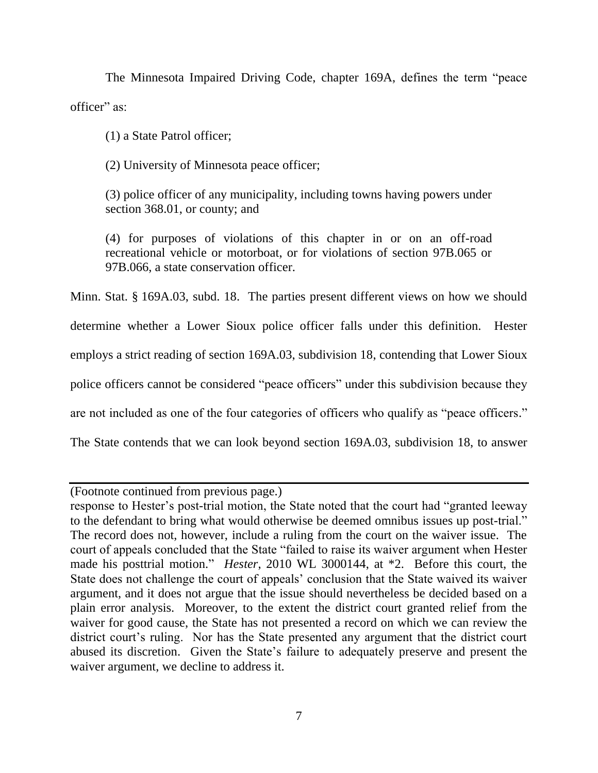The Minnesota Impaired Driving Code, chapter 169A, defines the term "peace officer" as:

(1) a State Patrol officer;

(2) University of Minnesota peace officer;

(3) police officer of any municipality, including towns having powers under section 368.01, or county; and

(4) for purposes of violations of this chapter in or on an off-road recreational vehicle or motorboat, or for violations of section 97B.065 or 97B.066, a state conservation officer.

Minn. Stat. § 169A.03, subd. 18. The parties present different views on how we should determine whether a Lower Sioux police officer falls under this definition. Hester employs a strict reading of section 169A.03, subdivision 18, contending that Lower Sioux police officers cannot be considered "peace officers" under this subdivision because they are not included as one of the four categories of officers who qualify as "peace officers." The State contends that we can look beyond section 169A.03, subdivision 18, to answer

(Footnote continued from previous page.)

response to Hester's post-trial motion, the State noted that the court had "granted leeway" to the defendant to bring what would otherwise be deemed omnibus issues up post-trial." The record does not, however, include a ruling from the court on the waiver issue. The court of appeals concluded that the State "failed to raise its waiver argument when Hester made his posttrial motion." *Hester*, 2010 WL 3000144, at \*2. Before this court, the State does not challenge the court of appeals" conclusion that the State waived its waiver argument, and it does not argue that the issue should nevertheless be decided based on a plain error analysis. Moreover, to the extent the district court granted relief from the waiver for good cause, the State has not presented a record on which we can review the district court's ruling. Nor has the State presented any argument that the district court abused its discretion. Given the State"s failure to adequately preserve and present the waiver argument, we decline to address it.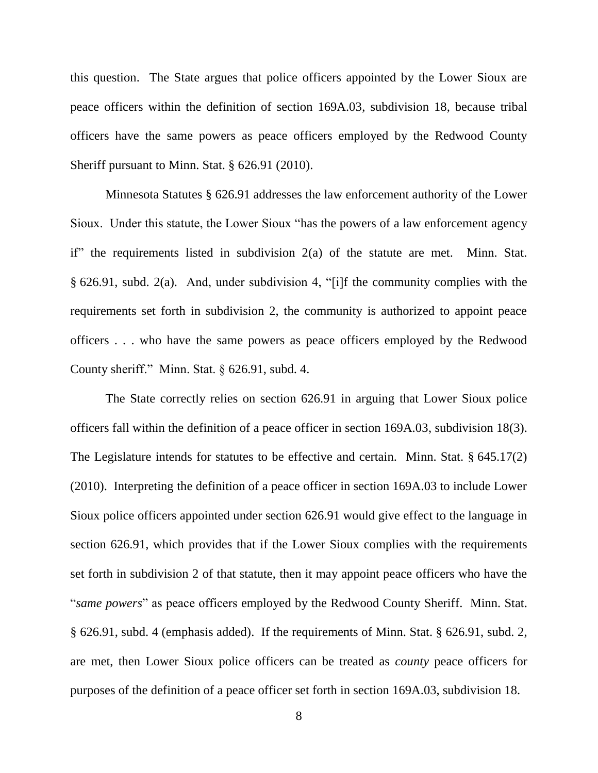this question. The State argues that police officers appointed by the Lower Sioux are peace officers within the definition of section 169A.03, subdivision 18, because tribal officers have the same powers as peace officers employed by the Redwood County Sheriff pursuant to Minn. Stat. § 626.91 (2010).

Minnesota Statutes § 626.91 addresses the law enforcement authority of the Lower Sioux. Under this statute, the Lower Sioux "has the powers of a law enforcement agency if" the requirements listed in subdivision 2(a) of the statute are met. Minn. Stat. § 626.91, subd. 2(a). And, under subdivision 4, "[i]f the community complies with the requirements set forth in subdivision 2, the community is authorized to appoint peace officers . . . who have the same powers as peace officers employed by the Redwood County sheriff." Minn. Stat. § 626.91, subd. 4.

The State correctly relies on section 626.91 in arguing that Lower Sioux police officers fall within the definition of a peace officer in section 169A.03, subdivision 18(3). The Legislature intends for statutes to be effective and certain. Minn. Stat. § 645.17(2) (2010). Interpreting the definition of a peace officer in section 169A.03 to include Lower Sioux police officers appointed under section 626.91 would give effect to the language in section 626.91, which provides that if the Lower Sioux complies with the requirements set forth in subdivision 2 of that statute, then it may appoint peace officers who have the "*same powers*" as peace officers employed by the Redwood County Sheriff. Minn. Stat. § 626.91, subd. 4 (emphasis added). If the requirements of Minn. Stat. § 626.91, subd. 2, are met, then Lower Sioux police officers can be treated as *county* peace officers for purposes of the definition of a peace officer set forth in section 169A.03, subdivision 18.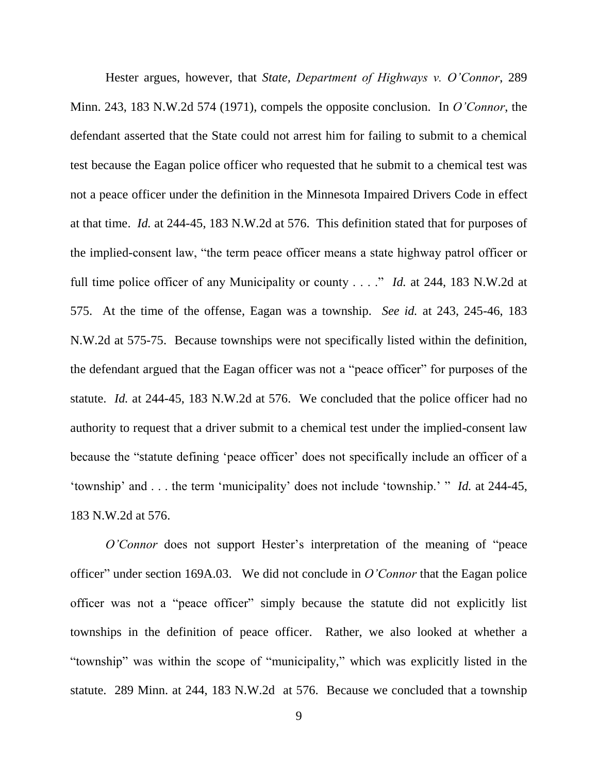Hester argues, however, that *State, Department of Highways v. O'Connor*, 289 Minn. 243, 183 N.W.2d 574 (1971), compels the opposite conclusion. In *O'Connor*, the defendant asserted that the State could not arrest him for failing to submit to a chemical test because the Eagan police officer who requested that he submit to a chemical test was not a peace officer under the definition in the Minnesota Impaired Drivers Code in effect at that time. *Id.* at 244-45, 183 N.W.2d at 576. This definition stated that for purposes of the implied-consent law, "the term peace officer means a state highway patrol officer or full time police officer of any Municipality or county . . . ." *Id.* at 244, 183 N.W.2d at 575. At the time of the offense, Eagan was a township. *See id.* at 243, 245-46, 183 N.W.2d at 575-75. Because townships were not specifically listed within the definition, the defendant argued that the Eagan officer was not a "peace officer" for purposes of the statute. *Id.* at 244-45, 183 N.W.2d at 576. We concluded that the police officer had no authority to request that a driver submit to a chemical test under the implied-consent law because the "statute defining "peace officer" does not specifically include an officer of a 'township' and . . . the term 'municipality' does not include 'township.' " *Id.* at 244-45, 183 N.W.2d at 576.

*O'Connor* does not support Hester's interpretation of the meaning of "peace officer" under section 169A.03. We did not conclude in *O'Connor* that the Eagan police officer was not a "peace officer" simply because the statute did not explicitly list townships in the definition of peace officer. Rather, we also looked at whether a "township" was within the scope of "municipality," which was explicitly listed in the statute. 289 Minn. at 244, 183 N.W.2d at 576. Because we concluded that a township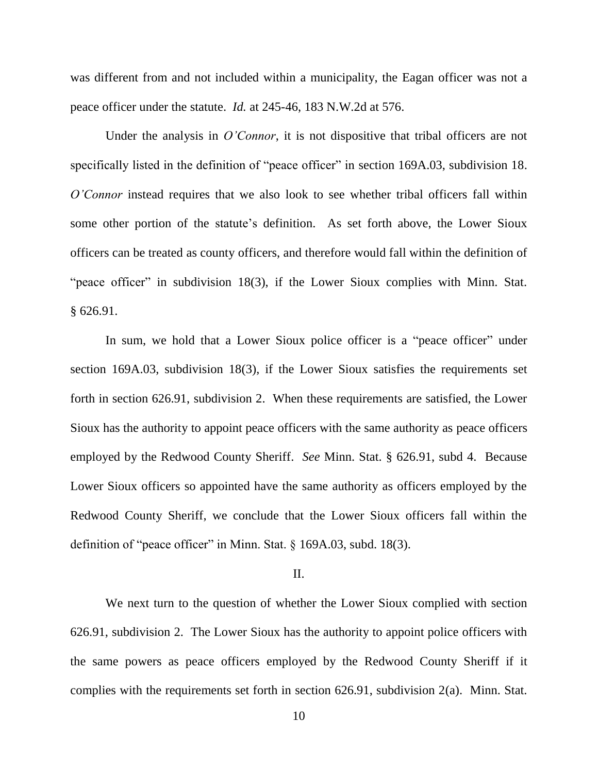was different from and not included within a municipality, the Eagan officer was not a peace officer under the statute. *Id.* at 245-46, 183 N.W.2d at 576.

Under the analysis in *O'Connor*, it is not dispositive that tribal officers are not specifically listed in the definition of "peace officer" in section 169A.03, subdivision 18. *O'Connor* instead requires that we also look to see whether tribal officers fall within some other portion of the statute's definition. As set forth above, the Lower Sioux officers can be treated as county officers, and therefore would fall within the definition of "peace officer" in subdivision 18(3), if the Lower Sioux complies with Minn. Stat. § 626.91.

In sum, we hold that a Lower Sioux police officer is a "peace officer" under section 169A.03, subdivision 18(3), if the Lower Sioux satisfies the requirements set forth in section 626.91, subdivision 2. When these requirements are satisfied, the Lower Sioux has the authority to appoint peace officers with the same authority as peace officers employed by the Redwood County Sheriff. *See* Minn. Stat. § 626.91, subd 4. Because Lower Sioux officers so appointed have the same authority as officers employed by the Redwood County Sheriff, we conclude that the Lower Sioux officers fall within the definition of "peace officer" in Minn. Stat. § 169A.03, subd. 18(3).

### II.

We next turn to the question of whether the Lower Sioux complied with section 626.91, subdivision 2. The Lower Sioux has the authority to appoint police officers with the same powers as peace officers employed by the Redwood County Sheriff if it complies with the requirements set forth in section 626.91, subdivision 2(a). Minn. Stat.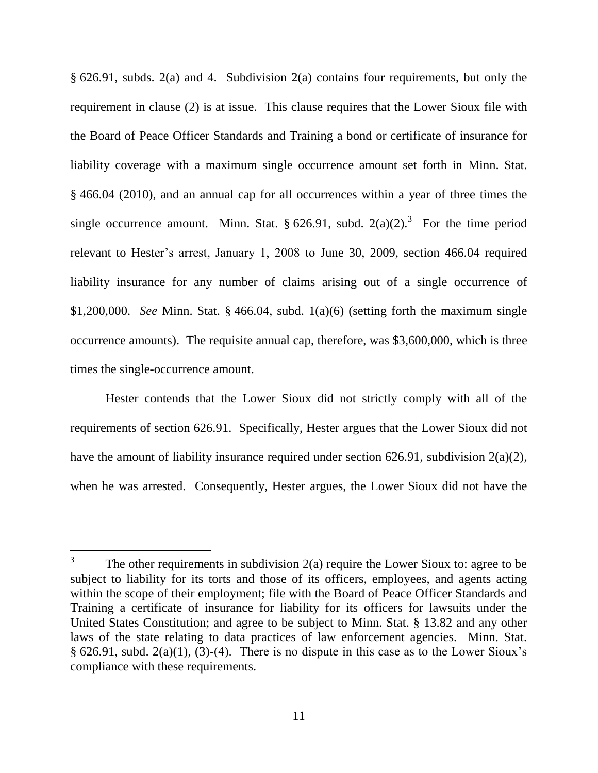§ 626.91, subds. 2(a) and 4. Subdivision 2(a) contains four requirements, but only the requirement in clause (2) is at issue. This clause requires that the Lower Sioux file with the Board of Peace Officer Standards and Training a bond or certificate of insurance for liability coverage with a maximum single occurrence amount set forth in Minn. Stat. § 466.04 (2010), and an annual cap for all occurrences within a year of three times the single occurrence amount. Minn. Stat. § 626.91, subd. 2(a)(2).<sup>3</sup> For the time period relevant to Hester's arrest, January 1, 2008 to June 30, 2009, section 466.04 required liability insurance for any number of claims arising out of a single occurrence of \$1,200,000. *See* Minn. Stat. § 466.04, subd. 1(a)(6) (setting forth the maximum single occurrence amounts). The requisite annual cap, therefore, was \$3,600,000, which is three times the single-occurrence amount.

Hester contends that the Lower Sioux did not strictly comply with all of the requirements of section 626.91. Specifically, Hester argues that the Lower Sioux did not have the amount of liability insurance required under section 626.91, subdivision 2(a)(2), when he was arrested. Consequently, Hester argues, the Lower Sioux did not have the

 $\overline{a}$ 

<sup>3</sup> The other requirements in subdivision 2(a) require the Lower Sioux to: agree to be subject to liability for its torts and those of its officers, employees, and agents acting within the scope of their employment; file with the Board of Peace Officer Standards and Training a certificate of insurance for liability for its officers for lawsuits under the United States Constitution; and agree to be subject to Minn. Stat. § 13.82 and any other laws of the state relating to data practices of law enforcement agencies. Minn. Stat. § 626.91, subd. 2(a)(1), (3)-(4). There is no dispute in this case as to the Lower Sioux's compliance with these requirements.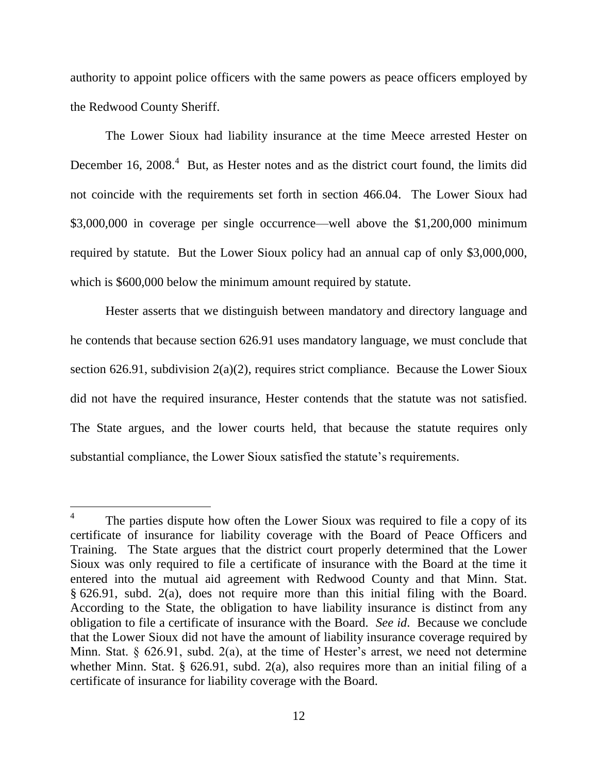authority to appoint police officers with the same powers as peace officers employed by the Redwood County Sheriff.

The Lower Sioux had liability insurance at the time Meece arrested Hester on December 16, 2008.<sup>4</sup> But, as Hester notes and as the district court found, the limits did not coincide with the requirements set forth in section 466.04. The Lower Sioux had \$3,000,000 in coverage per single occurrence—well above the \$1,200,000 minimum required by statute. But the Lower Sioux policy had an annual cap of only \$3,000,000, which is  $$600,000$  below the minimum amount required by statute.

Hester asserts that we distinguish between mandatory and directory language and he contends that because section 626.91 uses mandatory language, we must conclude that section 626.91, subdivision  $2(a)(2)$ , requires strict compliance. Because the Lower Sioux did not have the required insurance, Hester contends that the statute was not satisfied. The State argues, and the lower courts held, that because the statute requires only substantial compliance, the Lower Sioux satisfied the statute's requirements.

<sup>4</sup> The parties dispute how often the Lower Sioux was required to file a copy of its certificate of insurance for liability coverage with the Board of Peace Officers and Training. The State argues that the district court properly determined that the Lower Sioux was only required to file a certificate of insurance with the Board at the time it entered into the mutual aid agreement with Redwood County and that Minn. Stat. § 626.91, subd. 2(a), does not require more than this initial filing with the Board. According to the State, the obligation to have liability insurance is distinct from any obligation to file a certificate of insurance with the Board. *See id*. Because we conclude that the Lower Sioux did not have the amount of liability insurance coverage required by Minn. Stat.  $\S$  626.91, subd. 2(a), at the time of Hester's arrest, we need not determine whether Minn. Stat. § 626.91, subd. 2(a), also requires more than an initial filing of a certificate of insurance for liability coverage with the Board.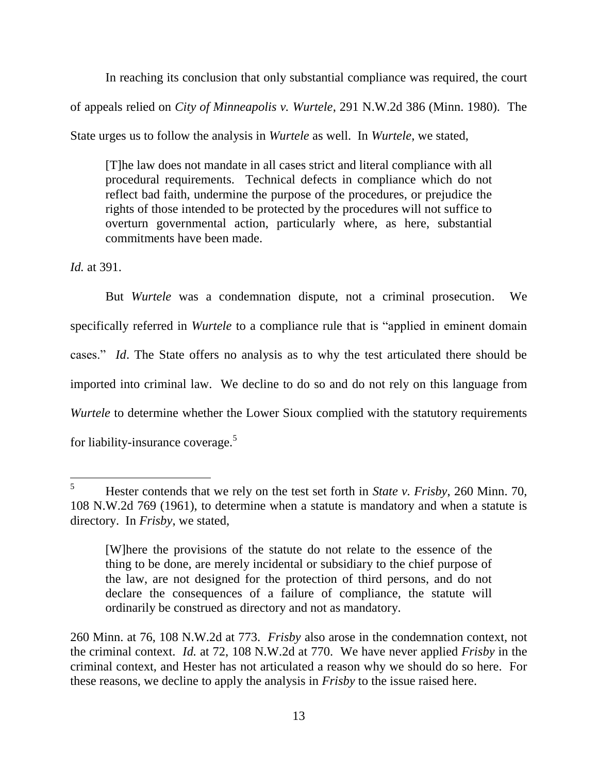In reaching its conclusion that only substantial compliance was required, the court of appeals relied on *City of Minneapolis v. Wurtele*, 291 N.W.2d 386 (Minn. 1980). The State urges us to follow the analysis in *Wurtele* as well. In *Wurtele*, we stated,

[T]he law does not mandate in all cases strict and literal compliance with all procedural requirements. Technical defects in compliance which do not reflect bad faith, undermine the purpose of the procedures, or prejudice the rights of those intended to be protected by the procedures will not suffice to overturn governmental action, particularly where, as here, substantial commitments have been made.

*Id.* at 391.

 $\overline{a}$ 

But *Wurtele* was a condemnation dispute, not a criminal prosecution. We specifically referred in *Wurtele* to a compliance rule that is "applied in eminent domain cases." *Id*. The State offers no analysis as to why the test articulated there should be imported into criminal law. We decline to do so and do not rely on this language from *Wurtele* to determine whether the Lower Sioux complied with the statutory requirements for liability-insurance coverage.<sup>5</sup>

<sup>5</sup> Hester contends that we rely on the test set forth in *State v. Frisby*, 260 Minn. 70, 108 N.W.2d 769 (1961), to determine when a statute is mandatory and when a statute is directory. In *Frisby*, we stated,

<sup>[</sup>W]here the provisions of the statute do not relate to the essence of the thing to be done, are merely incidental or subsidiary to the chief purpose of the law, are not designed for the protection of third persons, and do not declare the consequences of a failure of compliance, the statute will ordinarily be construed as directory and not as mandatory.

<sup>260</sup> Minn. at 76, 108 N.W.2d at 773. *Frisby* also arose in the condemnation context, not the criminal context. *Id.* at 72, 108 N.W.2d at 770. We have never applied *Frisby* in the criminal context, and Hester has not articulated a reason why we should do so here. For these reasons, we decline to apply the analysis in *Frisby* to the issue raised here.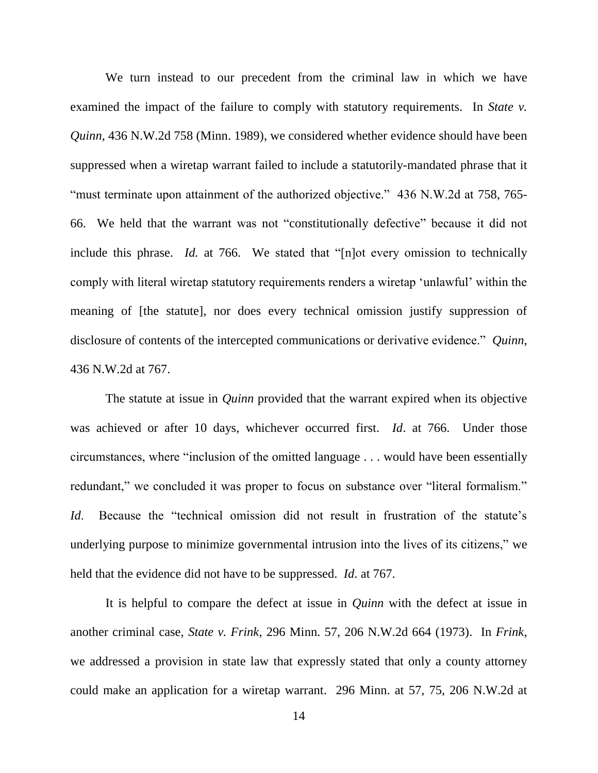We turn instead to our precedent from the criminal law in which we have examined the impact of the failure to comply with statutory requirements. In *State v. Quinn*, 436 N.W.2d 758 (Minn. 1989), we considered whether evidence should have been suppressed when a wiretap warrant failed to include a statutorily-mandated phrase that it "must terminate upon attainment of the authorized objective." 436 N.W.2d at 758, 765-66. We held that the warrant was not "constitutionally defective" because it did not include this phrase. *Id.* at 766. We stated that "[n]ot every omission to technically comply with literal wiretap statutory requirements renders a wiretap "unlawful" within the meaning of [the statute], nor does every technical omission justify suppression of disclosure of contents of the intercepted communications or derivative evidence." *Quinn*, 436 N.W.2d at 767.

The statute at issue in *Quinn* provided that the warrant expired when its objective was achieved or after 10 days, whichever occurred first. *Id*. at 766. Under those circumstances, where "inclusion of the omitted language . . . would have been essentially redundant," we concluded it was proper to focus on substance over "literal formalism." *Id*. Because the "technical omission did not result in frustration of the statute's underlying purpose to minimize governmental intrusion into the lives of its citizens," we held that the evidence did not have to be suppressed. *Id*. at 767.

It is helpful to compare the defect at issue in *Quinn* with the defect at issue in another criminal case, *State v. Frink*, 296 Minn. 57, 206 N.W.2d 664 (1973). In *Frink*, we addressed a provision in state law that expressly stated that only a county attorney could make an application for a wiretap warrant. 296 Minn. at 57, 75, 206 N.W.2d at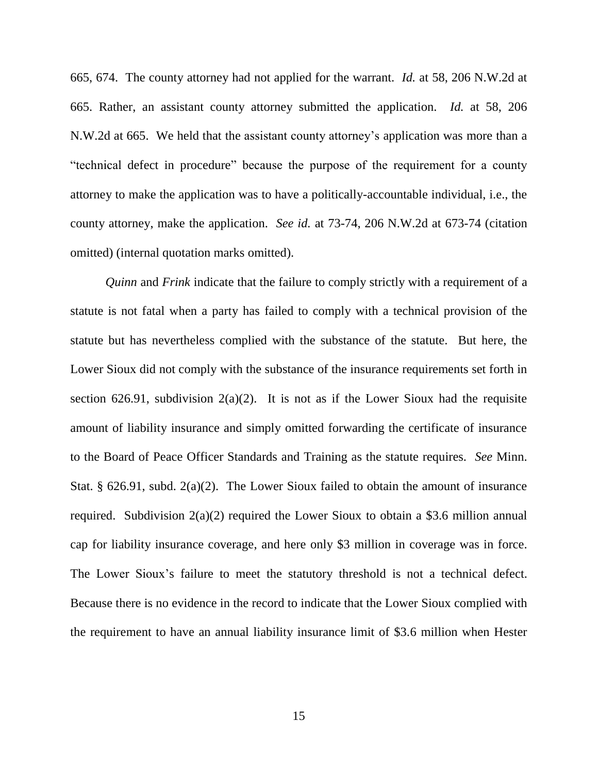665, 674. The county attorney had not applied for the warrant. *Id.* at 58, 206 N.W.2d at 665. Rather, an assistant county attorney submitted the application. *Id.* at 58, 206 N.W.2d at 665. We held that the assistant county attorney"s application was more than a "technical defect in procedure" because the purpose of the requirement for a county attorney to make the application was to have a politically-accountable individual, i.e., the county attorney, make the application. *See id.* at 73-74, 206 N.W.2d at 673-74 (citation omitted) (internal quotation marks omitted).

*Quinn* and *Frink* indicate that the failure to comply strictly with a requirement of a statute is not fatal when a party has failed to comply with a technical provision of the statute but has nevertheless complied with the substance of the statute. But here, the Lower Sioux did not comply with the substance of the insurance requirements set forth in section 626.91, subdivision  $2(a)(2)$ . It is not as if the Lower Sioux had the requisite amount of liability insurance and simply omitted forwarding the certificate of insurance to the Board of Peace Officer Standards and Training as the statute requires. *See* Minn. Stat. § 626.91, subd. 2(a)(2). The Lower Sioux failed to obtain the amount of insurance required. Subdivision 2(a)(2) required the Lower Sioux to obtain a \$3.6 million annual cap for liability insurance coverage, and here only \$3 million in coverage was in force. The Lower Sioux's failure to meet the statutory threshold is not a technical defect. Because there is no evidence in the record to indicate that the Lower Sioux complied with the requirement to have an annual liability insurance limit of \$3.6 million when Hester